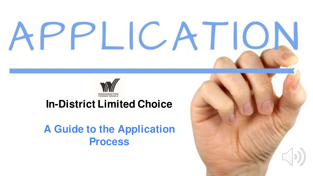# PPLICATIO



#### **In-District Limited Choice**

#### **A Guide to the Application Process**

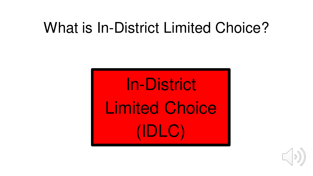# What is In-District Limited Choice?

In-District Limited Choice (IDLC)

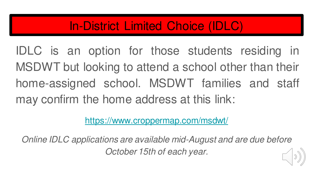### In-District Limited Choice (IDLC)

IDLC is an option for those students residing in MSDWT but looking to attend a school other than their home-assigned school. MSDWT families and staff may confirm the home address at this link:

<https://www.croppermap.com/msdwt/>

Online IDLC applications are available mid-August and are due before October 15th of each year.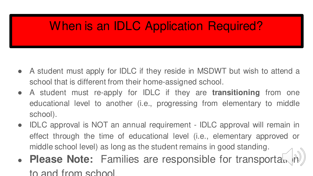## When is an IDLC Application Required?

- A student must apply for IDLC if they reside in MSDWT but wish to attend a school that is different from their home-assigned school.
- A student must re-apply for IDLC if they are **transitioning** from one educational level to another (i.e., progressing from elementary to middle school).
- IDLC approval is NOT an annual requirement IDLC approval will remain in effect through the time of educational level (i.e., elementary approved or middle school level) as long as the student remains in good standing.
- **Please Note:** Families are responsible for transportation to and from school.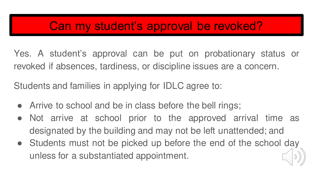### Can my student's approval be revoked?

Yes. A student's approval can be put on probationary status or revoked if absences, tardiness, or discipline issues are a concern.

Students and families in applying for IDLC agree to:

- Arrive to school and be in class before the bell rings;
- Not arrive at school prior to the approved arrival time as designated by the building and may not be left unattended; and
- Students must not be picked up before the end of the school day unless for a substantiated appointment.